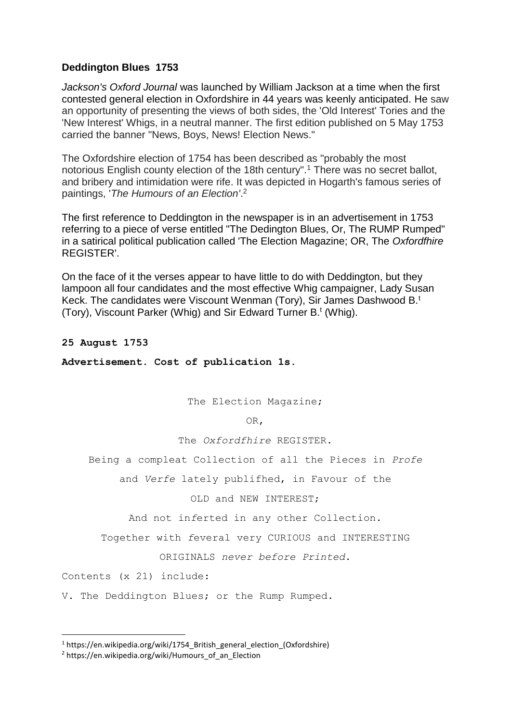## **Deddington Blues 1753**

*Jackson's Oxford Journal* was launched by William Jackson at a time when the first contested general election in Oxfordshire in 44 years was keenly anticipated. He saw an opportunity of presenting the views of both sides, the 'Old Interest' Tories and the 'New Interest' Whigs, in a neutral manner. The first edition published on 5 May 1753 carried the banner "News, Boys, News! Election News."

The Oxfordshire election of 1754 has been described as "probably the most notorious English county election of the 18th century".<sup>1</sup> There was no secret ballot, and bribery and intimidation were rife. It was depicted in Hogarth's famous series of paintings, '*The Humours of an Election'*. 2

The first reference to Deddington in the newspaper is in an advertisement in 1753 referring to a piece of verse entitled "The Dedington Blues, Or, The RUMP Rumped" in a satirical political publication called 'The Election Magazine; OR, The *Oxfordfhire* REGISTER'.

On the face of it the verses appear to have little to do with Deddington, but they lampoon all four candidates and the most effective Whig campaigner, Lady Susan Keck. The candidates were Viscount Wenman (Tory), Sir James Dashwood B.<sup>t</sup> (Tory), Viscount Parker (Whig) and Sir Edward Turner B.<sup>t</sup> (Whig).

## **25 August 1753**

**Advertisement. Cost of publication 1s.**

The Election Magazine;

OR,

The *Oxfordfhire* REGISTER.

Being a compleat Collection of all the Pieces in *Profe*

and *Verfe* lately publifhed, in Favour of the

OLD and NEW INTEREST;

And not in*f*erted in any other Collection.

Together with *f*everal very CURIOUS and INTERESTING

ORIGINALS *never before Printed*.

Contents (x 21) include:

1

V. The Deddington Blues; or the Rump Rumped.

<sup>&</sup>lt;sup>1</sup> https://en.wikipedia.org/wiki/1754 British general election (Oxfordshire)

<sup>&</sup>lt;sup>2</sup> https://en.wikipedia.org/wiki/Humours\_of\_an\_Election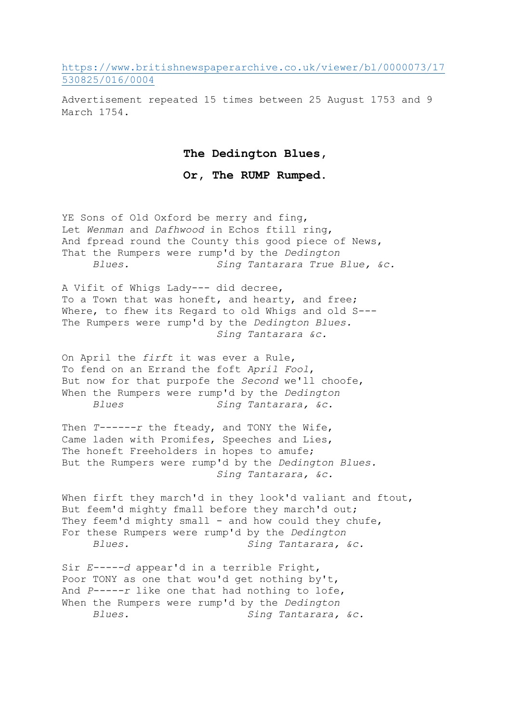[https://www.britishnewspaperarchive.co.uk/viewer/bl/0000073/17](https://www.britishnewspaperarchive.co.uk/viewer/bl/0000073/17530825/016/0004) [530825/016/0004](https://www.britishnewspaperarchive.co.uk/viewer/bl/0000073/17530825/016/0004)

Advertisement repeated 15 times between 25 August 1753 and 9 March 1754.

## **The Dedington Blues,**

## **Or, The RUMP Rumped.**

YE Sons of Old Oxford be merry and fing, Let *Wenman* and *Dafhwood* in Echos ftill ring, And fpread round the County this good piece of News, That the Rumpers were rump'd by the *Dedington Blues. Sing Tantarara True Blue, &c.*

A Vifit of Whigs Lady--- did decree, To a Town that was honeft, and hearty, and free; Where, to fhew its Regard to old Whigs and old S---The Rumpers were rump'd by the *Dedington Blues. Sing Tantarara &c.*

On April the *firft* it was ever a Rule, To fend on an Errand the foft *April Fool*, But now for that purpofe the *Second* we'll choofe, When the Rumpers were rump'd by the *Dedington Blues Sing Tantarara, &c.*

Then *T------r* the fteady, and TONY the Wife, Came laden with Promifes, Speeches and Lies, The honeft Freeholders in hopes to amufe; But the Rumpers were rump'd by the *Dedington Blues. Sing Tantarara, &c.*

When firft they march'd in they look'd valiant and ftout, But feem'd mighty fmall before they march'd out; They feem'd mighty small - and how could they chufe, For these Rumpers were rump'd by the *Dedington Blues. Sing Tantarara, &c.*

Sir *E-----d* appear'd in a terrible Fright, Poor TONY as one that wou'd get nothing by't, And *P-----r* like one that had nothing to lofe, When the Rumpers were rump'd by the *Dedington Blues. Sing Tantarara, &c.*